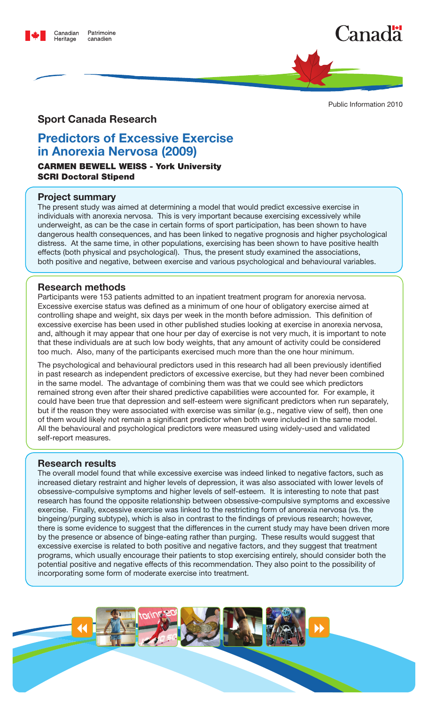





#### Public Information 2010

# **Sport Canada Research**

# **Predictors of Excessive Exercise in Anorexia Nervosa (2009)**

# Carmen Bewell Weiss - York University SCRI Doctoral Stipend

#### **Project summary**

The present study was aimed at determining a model that would predict excessive exercise in individuals with anorexia nervosa. This is very important because exercising excessively while underweight, as can be the case in certain forms of sport participation, has been shown to have dangerous health consequences, and has been linked to negative prognosis and higher psychological distress. At the same time, in other populations, exercising has been shown to have positive health effects (both physical and psychological). Thus, the present study examined the associations, both positive and negative, between exercise and various psychological and behavioural variables.

# **Research methods**

Participants were 153 patients admitted to an inpatient treatment program for anorexia nervosa. Excessive exercise status was defined as a minimum of one hour of obligatory exercise aimed at controlling shape and weight, six days per week in the month before admission. This definition of excessive exercise has been used in other published studies looking at exercise in anorexia nervosa, and, although it may appear that one hour per day of exercise is not very much, it is important to note that these individuals are at such low body weights, that any amount of activity could be considered too much. Also, many of the participants exercised much more than the one hour minimum.

The psychological and behavioural predictors used in this research had all been previously identified in past research as independent predictors of excessive exercise, but they had never been combined in the same model. The advantage of combining them was that we could see which predictors remained strong even after their shared predictive capabilities were accounted for. For example, it could have been true that depression and self-esteem were significant predictors when run separately, but if the reason they were associated with exercise was similar (e.g., negative view of self), then one of them would likely not remain a significant predictor when both were included in the same model. All the behavioural and psychological predictors were measured using widely-used and validated self-report measures.

# **Research results**

The overall model found that while excessive exercise was indeed linked to negative factors, such as increased dietary restraint and higher levels of depression, it was also associated with lower levels of obsessive-compulsive symptoms and higher levels of self-esteem. It is interesting to note that past research has found the opposite relationship between obsessive-compulsive symptoms and excessive exercise. Finally, excessive exercise was linked to the restricting form of anorexia nervosa (vs. the bingeing/purging subtype), which is also in contrast to the findings of previous research; however, there is some evidence to suggest that the differences in the current study may have been driven more by the presence or absence of binge-eating rather than purging. These results would suggest that excessive exercise is related to both positive and negative factors, and they suggest that treatment programs, which usually encourage their patients to stop exercising entirely, should consider both the potential positive and negative effects of this recommendation. They also point to the possibility of incorporating some form of moderate exercise into treatment.